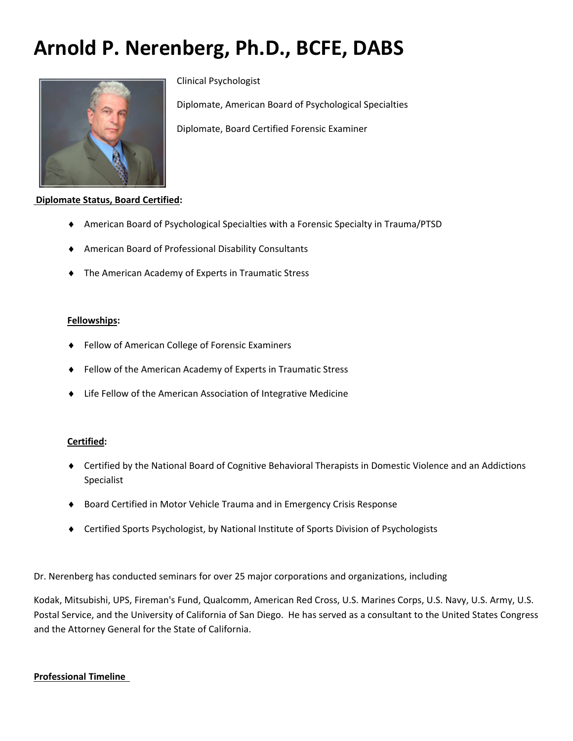# **Arnold P. Nerenberg, Ph.D., BCFE, DABS**



Clinical Psychologist

Diplomate, American Board of Psychological Specialties

Diplomate, Board Certified Forensic Examiner

# **Diplomate Status, Board Certified:**

- American Board of Psychological Specialties with a Forensic Specialty in Trauma/PTSD
- American Board of Professional Disability Consultants
- The American Academy of Experts in Traumatic Stress

#### **Fellowships:**

- Fellow of American College of Forensic Examiners
- Fellow of the American Academy of Experts in Traumatic Stress
- ♦ Life Fellow of the American Association of Integrative Medicine

## **Certified:**

- ♦ Certified by the National Board of Cognitive Behavioral Therapists in Domestic Violence and an Addictions Specialist
- ♦ Board Certified in Motor Vehicle Trauma and in Emergency Crisis Response
- ♦ Certified Sports Psychologist, by National Institute of Sports Division of Psychologists

Dr. Nerenberg has conducted seminars for over 25 major corporations and organizations, including

Kodak, Mitsubishi, UPS, Fireman's Fund, Qualcomm, American Red Cross, U.S. Marines Corps, U.S. Navy, U.S. Army, U.S. Postal Service, and the University of California of San Diego. He has served as a consultant to the United States Congress and the Attorney General for the State of California.

## **Professional Timeline**